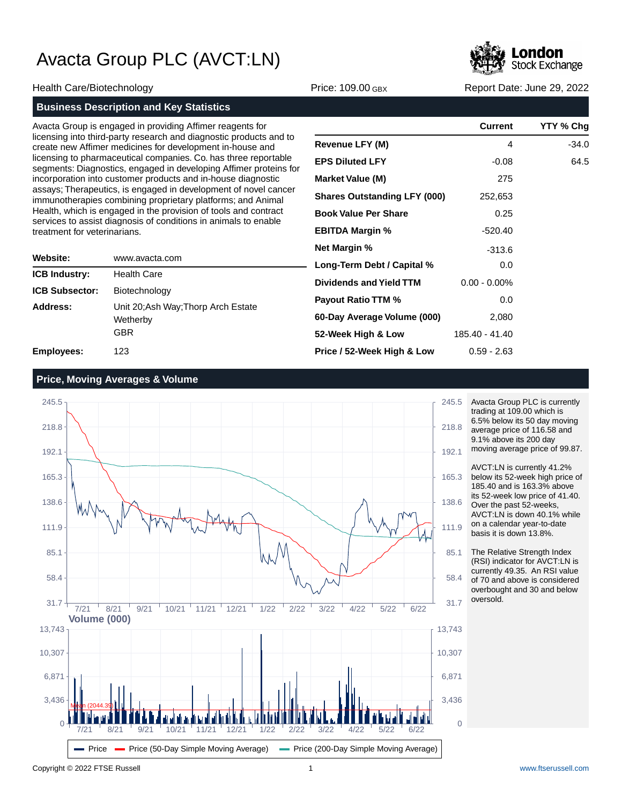

Health Care/Biotechnology **Price: 109.00 GBX** Report Date: June 29, 2022

|                              | <b>Business Description and Key Statistics</b>                                                                                                                                                                                                                                                                                                                                                                                                                                                                                                                                                                                                                               |                                                   |
|------------------------------|------------------------------------------------------------------------------------------------------------------------------------------------------------------------------------------------------------------------------------------------------------------------------------------------------------------------------------------------------------------------------------------------------------------------------------------------------------------------------------------------------------------------------------------------------------------------------------------------------------------------------------------------------------------------------|---------------------------------------------------|
| treatment for veterinarians. | Avacta Group is engaged in providing Affimer reagents for<br>licensing into third-party research and diagnostic products and to<br>create new Affimer medicines for development in-house and<br>licensing to pharmaceutical companies. Co. has three reportable<br>segments: Diagnostics, engaged in developing Affimer proteins for<br>incorporation into customer products and in-house diagnostic<br>assays; Therapeutics, is engaged in development of novel cancer<br>immunotherapies combining proprietary platforms; and Animal<br>Health, which is engaged in the provision of tools and contract<br>services to assist diagnosis of conditions in animals to enable | R <sub>6</sub><br>EI<br>M<br>SI<br><b>B</b><br>EI |
| Website:                     | www.avacta.com                                                                                                                                                                                                                                                                                                                                                                                                                                                                                                                                                                                                                                                               | N <sub>6</sub>                                    |

|                       | ,,,,,,,,,,,,,,,,,,,,,                                         |
|-----------------------|---------------------------------------------------------------|
| <b>ICB Industry:</b>  | <b>Health Care</b>                                            |
| <b>ICB Subsector:</b> | Biotechnology                                                 |
| Address:              | Unit 20; Ash Way; Thorp Arch Estate<br>Wetherby<br><b>GBR</b> |
| <b>Employees:</b>     | 123                                                           |

|                                     | Current         | YTY % Chg |
|-------------------------------------|-----------------|-----------|
| Revenue LFY (M)                     | 4               | $-34.0$   |
| <b>EPS Diluted LFY</b>              | $-0.08$         | 64.5      |
| <b>Market Value (M)</b>             | 275             |           |
| <b>Shares Outstanding LFY (000)</b> | 252,653         |           |
| <b>Book Value Per Share</b>         | 0.25            |           |
| <b>EBITDA Margin %</b>              | $-520.40$       |           |
| Net Margin %                        | $-313.6$        |           |
| Long-Term Debt / Capital %          | 0.0             |           |
| Dividends and Yield TTM             | $0.00 - 0.00\%$ |           |
| <b>Payout Ratio TTM %</b>           | 0.0             |           |
| 60-Day Average Volume (000)         | 2,080           |           |
| 52-Week High & Low                  | 185.40 - 41.40  |           |
| Price / 52-Week High & Low          | $0.59 - 2.63$   |           |

## **Price, Moving Averages & Volume**



Avacta Group PLC is currently trading at 109.00 which is 6.5% below its 50 day moving average price of 116.58 and 9.1% above its 200 day moving average price of 99.87.

AVCT:LN is currently 41.2% below its 52-week high price of 185.40 and is 163.3% above its 52-week low price of 41.40. Over the past 52-weeks, AVCT:LN is down 40.1% while on a calendar year-to-date basis it is down 13.8%.

The Relative Strength Index (RSI) indicator for AVCT:LN is currently 49.35. An RSI value of 70 and above is considered overbought and 30 and below oversold.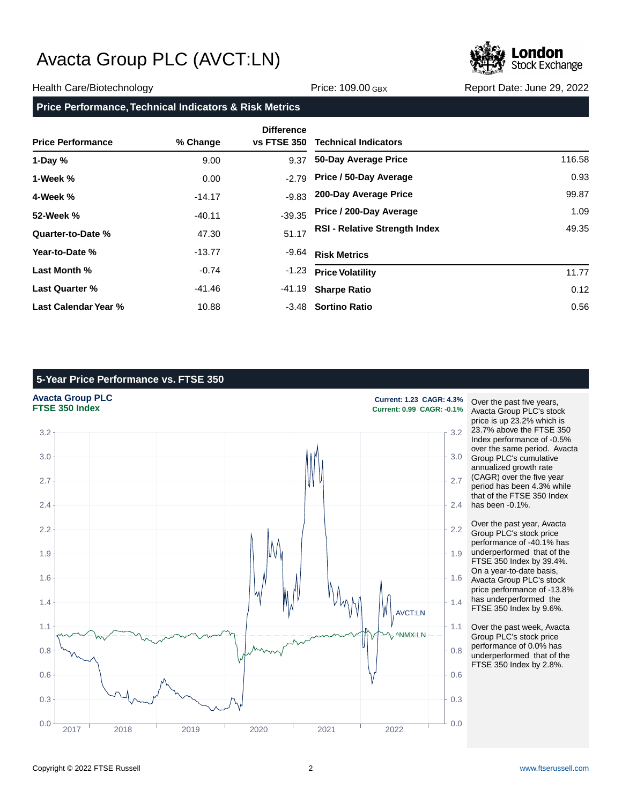

#### Health Care/Biotechnology **Price: 109.00 GBX** Report Date: June 29, 2022

## **Price Performance, Technical Indicators & Risk Metrics**

| <b>Price Performance</b> | % Change | <b>Difference</b><br><b>vs FTSE 350</b> | <b>Technical Indicators</b>          |        |
|--------------------------|----------|-----------------------------------------|--------------------------------------|--------|
| 1-Day $%$                | 9.00     | 9.37                                    | 50-Day Average Price                 | 116.58 |
| 1-Week %                 | 0.00     | $-2.79$                                 | Price / 50-Day Average               | 0.93   |
| 4-Week %                 | $-14.17$ | $-9.83$                                 | 200-Day Average Price                | 99.87  |
| 52-Week %                | $-40.11$ | $-39.35$                                | Price / 200-Day Average              | 1.09   |
| Quarter-to-Date %        | 47.30    | 51.17                                   | <b>RSI - Relative Strength Index</b> | 49.35  |
| Year-to-Date %           | $-13.77$ | $-9.64$                                 | <b>Risk Metrics</b>                  |        |
| Last Month %             | $-0.74$  | $-1.23$                                 | <b>Price Volatility</b>              | 11.77  |
| <b>Last Quarter %</b>    | -41.46   | -41.19                                  | <b>Sharpe Ratio</b>                  | 0.12   |
| Last Calendar Year %     | 10.88    |                                         | -3.48 Sortino Ratio                  | 0.56   |

## **5-Year Price Performance vs. FTSE 350**





**FTSE 350 Index Current: 0.99 CAGR: -0.1%**

Over the past five years, Avacta Group PLC's stock price is up 23.2% which is 23.7% above the FTSE 350 Index performance of -0.5% over the same period. Avacta Group PLC's cumulative annualized growth rate (CAGR) over the five year period has been 4.3% while that of the FTSE 350 Index has been -0.1%.

Over the past year, Avacta Group PLC's stock price performance of -40.1% has underperformed that of the FTSE 350 Index by 39.4%. On a year-to-date basis, Avacta Group PLC's stock price performance of -13.8% has underperformed the FTSE 350 Index by 9.6%.

Over the past week, Avacta Group PLC's stock price performance of 0.0% has underperformed that of the FTSE 350 Index by 2.8%.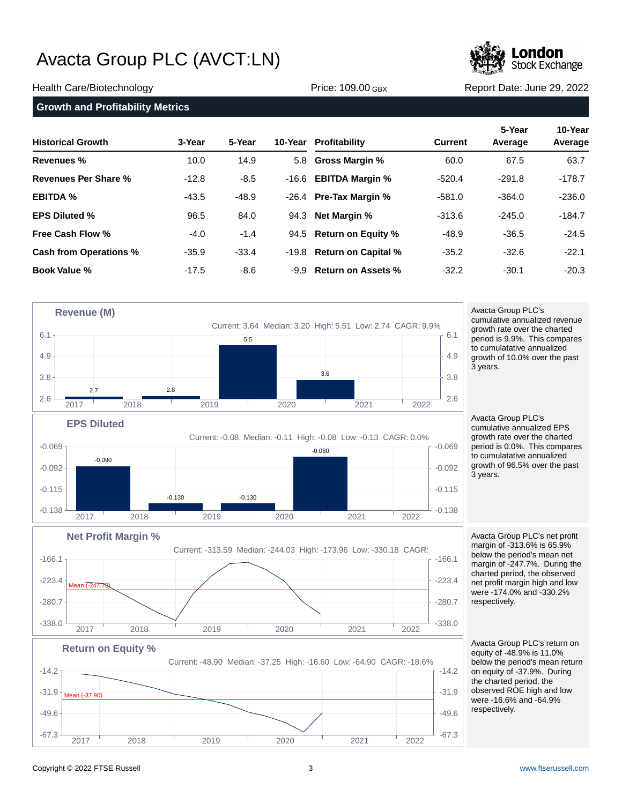

#### Health Care/Biotechnology **Price: 109.00 GBX** Report Date: June 29, 2022

#### **Growth and Profitability Metrics**

| <b>Historical Growth</b> | 3-Year  | 5-Year  | 10-Year Profitability        | <b>Current</b> | 5-Year<br>Average | 10-Year<br>Average |
|--------------------------|---------|---------|------------------------------|----------------|-------------------|--------------------|
| Revenues %               | 10.0    | 14.9    | 5.8 Gross Margin %           | 60.0           | 67.5              | 63.7               |
| Revenues Per Share %     | $-12.8$ | $-8.5$  | -16.6 <b>EBITDA Margin %</b> | $-520.4$       | $-291.8$          | $-178.7$           |
| <b>EBITDA %</b>          | $-43.5$ | $-48.9$ | -26.4 Pre-Tax Margin %       | $-581.0$       | $-364.0$          | $-236.0$           |
| <b>EPS Diluted %</b>     | 96.5    | 84.0    | 94.3 Net Margin %            | $-313.6$       | $-245.0$          | $-184.7$           |
| Free Cash Flow %         | $-4.0$  | $-1.4$  | 94.5 Return on Equity %      | $-48.9$        | $-36.5$           | $-24.5$            |
| Cash from Operations %   | $-35.9$ | $-33.4$ | -19.8 Return on Capital %    | $-35.2$        | $-32.6$           | $-22.1$            |
| <b>Book Value %</b>      | $-17.5$ | $-8.6$  | -9.9 Return on Assets %      | $-32.2$        | $-30.1$           | $-20.3$            |



Avacta Group PLC's cumulative annualized revenue growth rate over the charted period is 9.9%. This compares to cumulatative annualized growth of 10.0% over the past 3 years.

Avacta Group PLC's cumulative annualized EPS growth rate over the charted period is 0.0%. This compares to cumulatative annualized growth of 96.5% over the past 3 years.

Avacta Group PLC's net profit margin of -313.6% is 65.9% below the period's mean net margin of -247.7%. During the charted period, the observed net profit margin high and low were -174.0% and -330.2% respectively.



 $-338.0$   $-338.0$   $-338.0$   $-338.0$   $-338.0$   $-338.0$   $-338.0$   $-338.0$   $-338.0$ 

2017 2018 2019 2020 2021 2022

 $-280.7$   $-280.7$ 

 $-223.4$   $-223.4$   $-223.4$ 

-166.1  $\overline{1}$  -166.1  $\overline{1}$  -166.1  $\overline{1}$ 

Avacta Group PLC's return on equity of -48.9% is 11.0% below the period's mean return on equity of -37.9%. During the charted period, the observed ROE high and low were -16.6% and -64.9% respectively.

**Net Profit Margin %**

Mean (-247.73)

Current: -313.59 Median: -244.03 High: -173.96 Low: -330.18 CAGR: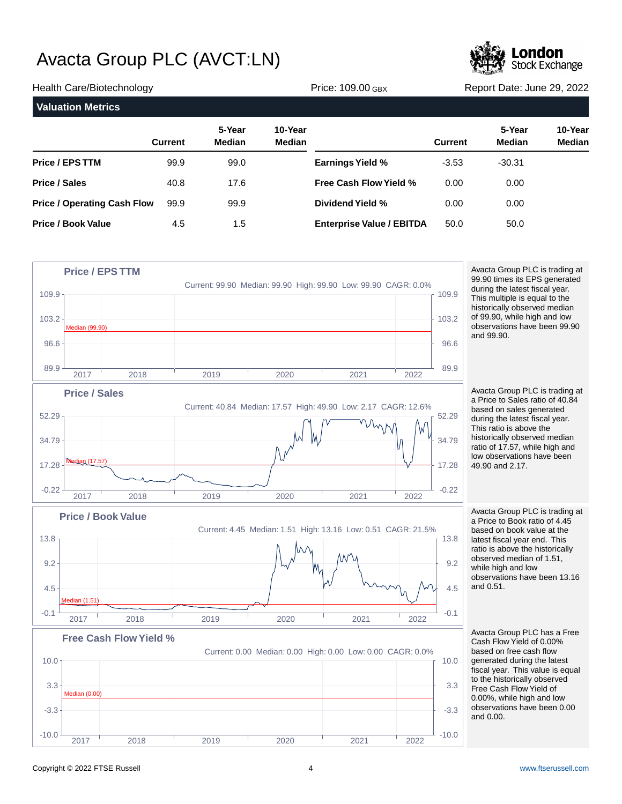

| Health Care/Biotechnology          |                |                         | <b>Price: 109.00 GBX</b> |                                  | Report Date: June 29, 2022 |                         |                          |
|------------------------------------|----------------|-------------------------|--------------------------|----------------------------------|----------------------------|-------------------------|--------------------------|
| <b>Valuation Metrics</b>           |                |                         |                          |                                  |                            |                         |                          |
|                                    | <b>Current</b> | 5-Year<br><b>Median</b> | 10-Year<br>Median        |                                  | <b>Current</b>             | 5-Year<br><b>Median</b> | 10-Year<br><b>Median</b> |
| <b>Price / EPS TTM</b>             | 99.9           | 99.0                    |                          | <b>Earnings Yield %</b>          | $-3.53$                    | $-30.31$                |                          |
| <b>Price / Sales</b>               | 40.8           | 17.6                    |                          | <b>Free Cash Flow Yield %</b>    | 0.00                       | 0.00                    |                          |
| <b>Price / Operating Cash Flow</b> | 99.9           | 99.9                    |                          | Dividend Yield %                 | 0.00                       | 0.00                    |                          |
| <b>Price / Book Value</b>          | 4.5            | 1.5                     |                          | <b>Enterprise Value / EBITDA</b> | 50.0                       | 50.0                    |                          |



99.90 times its EPS generated during the latest fiscal year. This multiple is equal to the historically observed median of 99.90, while high and low observations have been 99.90

Avacta Group PLC is trading at a Price to Sales ratio of 40.84 based on sales generated during the latest fiscal year. This ratio is above the historically observed median ratio of 17.57, while high and low observations have been

Avacta Group PLC is trading at a Price to Book ratio of 4.45 based on book value at the latest fiscal year end. This ratio is above the historically observed median of 1.51, while high and low observations have been 13.16

Avacta Group PLC has a Free Cash Flow Yield of 0.00% based on free cash flow generated during the latest fiscal year. This value is equal to the historically observed Free Cash Flow Yield of 0.00%, while high and low observations have been 0.00

2017 2018 2019 2020 2021 2022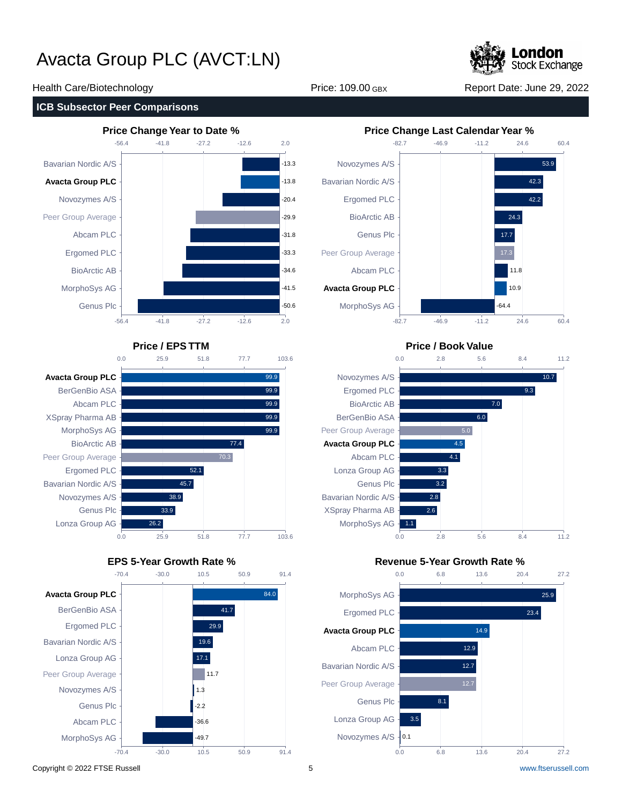

#### **ICB Subsector Peer Comparisons**









#### Health Care/Biotechnology **Price: 109.00 GBX** Report Date: June 29, 2022



### **Price / EPS TTM Price / Book Value**



### **EPS 5-Year Growth Rate % Revenue 5-Year Growth Rate %**

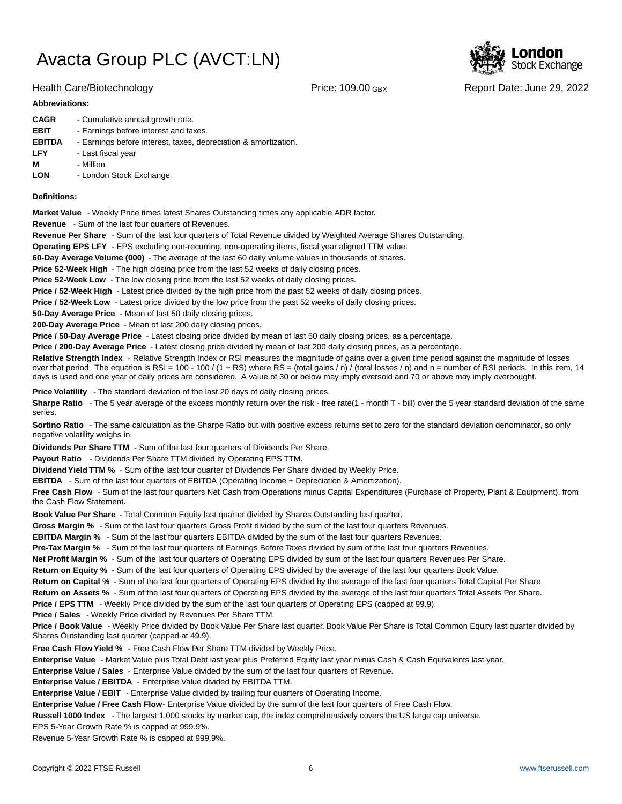

#### **Abbreviations:**

| <b>CAGR</b>   | - Cumulative annual growth rate.                                |
|---------------|-----------------------------------------------------------------|
| <b>EBIT</b>   | - Earnings before interest and taxes.                           |
| <b>EBITDA</b> | - Earnings before interest, taxes, depreciation & amortization. |
| <b>LFY</b>    | - Last fiscal year                                              |
| м             | - Million                                                       |
| <b>LON</b>    | - London Stock Exchange                                         |
|               |                                                                 |

#### **Definitions:**

**Market Value** - Weekly Price times latest Shares Outstanding times any applicable ADR factor.

**Revenue** - Sum of the last four quarters of Revenues.

**Revenue Per Share** - Sum of the last four quarters of Total Revenue divided by Weighted Average Shares Outstanding.

**Operating EPS LFY** - EPS excluding non-recurring, non-operating items, fiscal year aligned TTM value.

60-Day Average Volume (000) - The average of the last 60 daily volume values in thousands of shares.

**Price 52-Week High** - The high closing price from the last 52 weeks of daily closing prices.

**Price 52-Week Low** - The low closing price from the last 52 weeks of daily closing prices.

**Price / 52-Week High** - Latest price divided by the high price from the past 52 weeks of daily closing prices.

**Price / 52-Week Low** - Latest price divided by the low price from the past 52 weeks of daily closing prices.

**50-Day Average Price** - Mean of last 50 daily closing prices.

**200-Day Average Price** - Mean of last 200 daily closing prices.

Price / 50-Day Average Price - Latest closing price divided by mean of last 50 daily closing prices, as a percentage.

**Price / 200-Day Average Price** - Latest closing price divided by mean of last 200 daily closing prices, as a percentage.

Relative Strength Index - Relative Strength Index or RSI measures the magnitude of gains over a given time period against the magnitude of losses over that period. The equation is RSI = 100 - 100 / (1 + RS) where RS = (total gains / n) / (total losses / n) and n = number of RSI periods. In this item, 14 days is used and one year of daily prices are considered. A value of 30 or below may imply oversold and 70 or above may imply overbought.

**Price Volatility** - The standard deviation of the last 20 days of daily closing prices.

Sharpe Ratio - The 5 year average of the excess monthly return over the risk - free rate(1 - month T - bill) over the 5 year standard deviation of the same series.

**Sortino Ratio** - The same calculation as the Sharpe Ratio but with positive excess returns set to zero for the standard deviation denominator, so only negative volatility weighs in.

**Dividends Per Share TTM** - Sum of the last four quarters of Dividends Per Share.

Payout Ratio - Dividends Per Share TTM divided by Operating EPS TTM.

**Dividend Yield TTM %** - Sum of the last four quarter of Dividends Per Share divided by Weekly Price.

**EBITDA** - Sum of the last four quarters of EBITDA (Operating Income + Depreciation & Amortization).

**Free Cash Flow** - Sum of the last four quarters Net Cash from Operations minus Capital Expenditures (Purchase of Property, Plant & Equipment), from the Cash Flow Statement.

**Book Value Per Share** - Total Common Equity last quarter divided by Shares Outstanding last quarter.

**Gross Margin %** - Sum of the last four quarters Gross Profit divided by the sum of the last four quarters Revenues.

**EBITDA Margin %** - Sum of the last four quarters EBITDA divided by the sum of the last four quarters Revenues.

**Pre-Tax Margin %** - Sum of the last four quarters of Earnings Before Taxes divided by sum of the last four quarters Revenues.

**Net Profit Margin %** - Sum of the last four quarters of Operating EPS divided by sum of the last four quarters Revenues Per Share.

**Return on Equity %** - Sum of the last four quarters of Operating EPS divided by the average of the last four quarters Book Value.

**Return on Capital %** - Sum of the last four quarters of Operating EPS divided by the average of the last four quarters Total Capital Per Share.

**Return on Assets %** - Sum of the last four quarters of Operating EPS divided by the average of the last four quarters Total Assets Per Share.

**Price / EPS TTM** - Weekly Price divided by the sum of the last four quarters of Operating EPS (capped at 99.9).

**Price / Sales** - Weekly Price divided by Revenues Per Share TTM.

**Price / Book Value** - Weekly Price divided by Book Value Per Share last quarter. Book Value Per Share is Total Common Equity last quarter divided by Shares Outstanding last quarter (capped at 49.9).

**Free Cash Flow Yield %** - Free Cash Flow Per Share TTM divided by Weekly Price.

Enterprise Value - Market Value plus Total Debt last year plus Preferred Equity last year minus Cash & Cash Equivalents last year.

**Enterprise Value / Sales** - Enterprise Value divided by the sum of the last four quarters of Revenue.

**Enterprise Value / EBITDA** - Enterprise Value divided by EBITDA TTM.

**Enterprise Value / EBIT** - Enterprise Value divided by trailing four quarters of Operating Income.

Enterprise Value / Free Cash Flow- Enterprise Value divided by the sum of the last four quarters of Free Cash Flow.

**Russell 1000 Index** - The largest 1,000 stocks by market cap, the index comprehensively covers the US large cap universe.

EPS 5-Year Growth Rate % is capped at 999.9%.

Revenue 5-Year Growth Rate % is capped at 999.9%.



Health Care/Biotechnology **Price: 109.00 GBX** Report Date: June 29, 2022